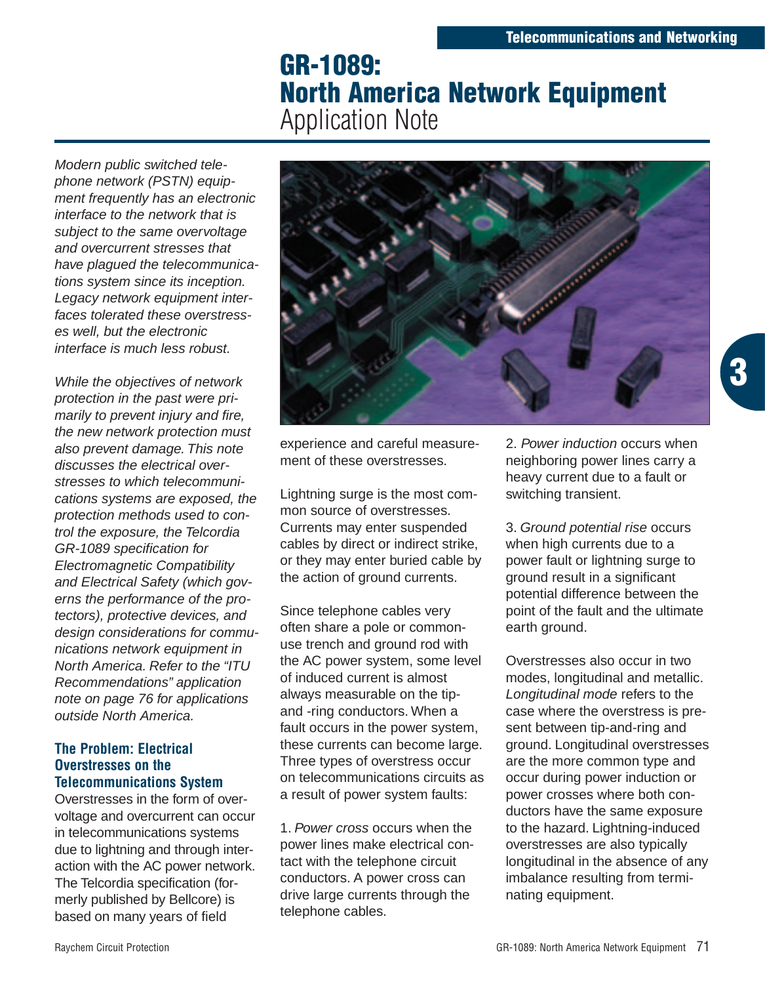# **GR-1089: North America Network Equipment** Application Note

Modern public switched telephone network (PSTN) equipment frequently has an electronic interface to the network that is subject to the same overvoltage and overcurrent stresses that have plagued the telecommunications system since its inception. Legacy network equipment interfaces tolerated these overstresses well, but the electronic interface is much less robust.

While the objectives of network protection in the past were primarily to prevent injury and fire, the new network protection must also prevent damage. This note discusses the electrical overstresses to which telecommunications systems are exposed, the protection methods used to control the exposure, the Telcordia GR-1089 specification for Electromagnetic Compatibility and Electrical Safety (which governs the performance of the protectors), protective devices, and design considerations for communications network equipment in North America. Refer to the "ITU Recommendations" application note on page 76 for applications outside North America.

# **The Problem: Electrical Overstresses on the Telecommunications System**

Overstresses in the form of overvoltage and overcurrent can occur in telecommunications systems due to lightning and through interaction with the AC power network. The Telcordia specification (formerly published by Bellcore) is based on many years of field



experience and careful measurement of these overstresses.

Lightning surge is the most common source of overstresses. Currents may enter suspended cables by direct or indirect strike, or they may enter buried cable by the action of ground currents.

Since telephone cables very often share a pole or commonuse trench and ground rod with the AC power system, some level of induced current is almost always measurable on the tipand -ring conductors. When a fault occurs in the power system, these currents can become large. Three types of overstress occur on telecommunications circuits as a result of power system faults:

1. Power cross occurs when the power lines make electrical contact with the telephone circuit conductors. A power cross can drive large currents through the telephone cables.

2. Power induction occurs when neighboring power lines carry a heavy current due to a fault or switching transient.

3. Ground potential rise occurs when high currents due to a power fault or lightning surge to ground result in a significant potential difference between the point of the fault and the ultimate earth ground.

Overstresses also occur in two modes, longitudinal and metallic. Longitudinal mode refers to the case where the overstress is present between tip-and-ring and ground. Longitudinal overstresses are the more common type and occur during power induction or power crosses where both conductors have the same exposure to the hazard. Lightning-induced overstresses are also typically longitudinal in the absence of any imbalance resulting from terminating equipment.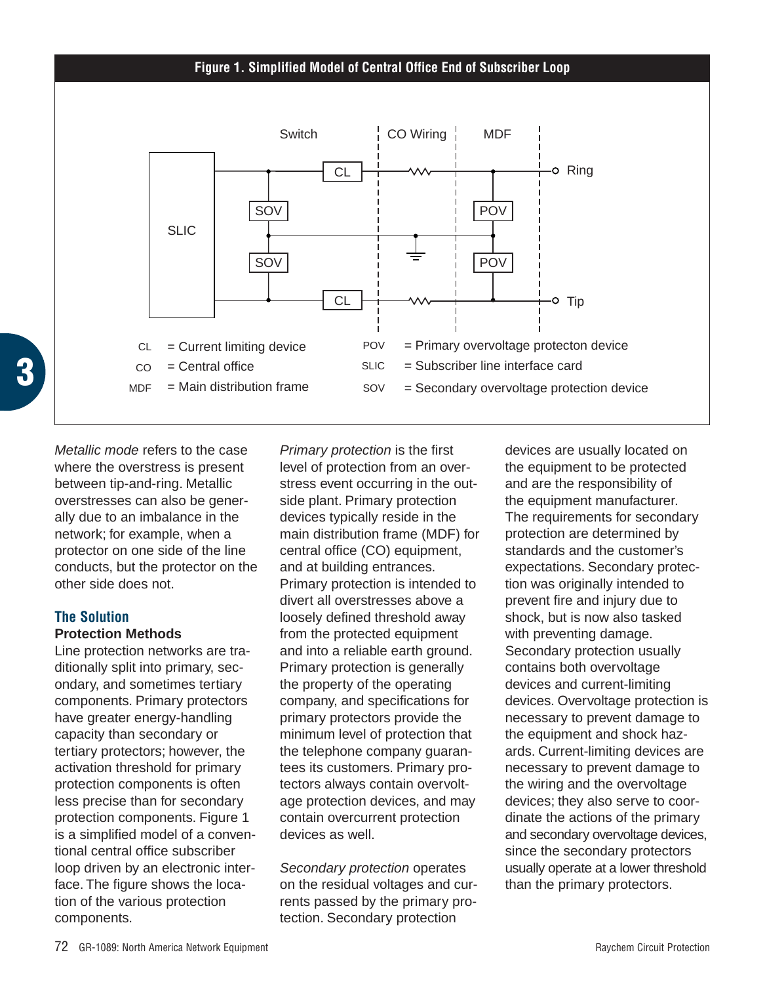#### **Figure 1. Simplified Model of Central Office End of Subscriber Loop**



Metallic mode refers to the case where the overstress is present between tip-and-ring. Metallic overstresses can also be generally due to an imbalance in the network; for example, when a protector on one side of the line conducts, but the protector on the

# **The Solution**

## **Protection Methods**

other side does not.

Line protection networks are traditionally split into primary, secondary, and sometimes tertiary components. Primary protectors have greater energy-handling capacity than secondary or tertiary protectors; however, the activation threshold for primary protection components is often less precise than for secondary protection components. Figure 1 is a simplified model of a conventional central office subscriber loop driven by an electronic interface. The figure shows the location of the various protection components.

Primary protection is the first level of protection from an overstress event occurring in the outside plant. Primary protection devices typically reside in the main distribution frame (MDF) for central office (CO) equipment, and at building entrances. Primary protection is intended to divert all overstresses above a loosely defined threshold away from the protected equipment and into a reliable earth ground. Primary protection is generally the property of the operating company, and specifications for primary protectors provide the minimum level of protection that the telephone company guarantees its customers. Primary protectors always contain overvoltage protection devices, and may contain overcurrent protection devices as well.

Secondary protection operates on the residual voltages and currents passed by the primary protection. Secondary protection

devices are usually located on the equipment to be protected and are the responsibility of the equipment manufacturer. The requirements for secondary protection are determined by standards and the customer's expectations. Secondary protection was originally intended to prevent fire and injury due to shock, but is now also tasked with preventing damage. Secondary protection usually contains both overvoltage devices and current-limiting devices. Overvoltage protection is necessary to prevent damage to the equipment and shock hazards. Current-limiting devices are necessary to prevent damage to the wiring and the overvoltage devices; they also serve to coordinate the actions of the primary and secondary overvoltage devices, since the secondary protectors usually operate at a lower threshold than the primary protectors.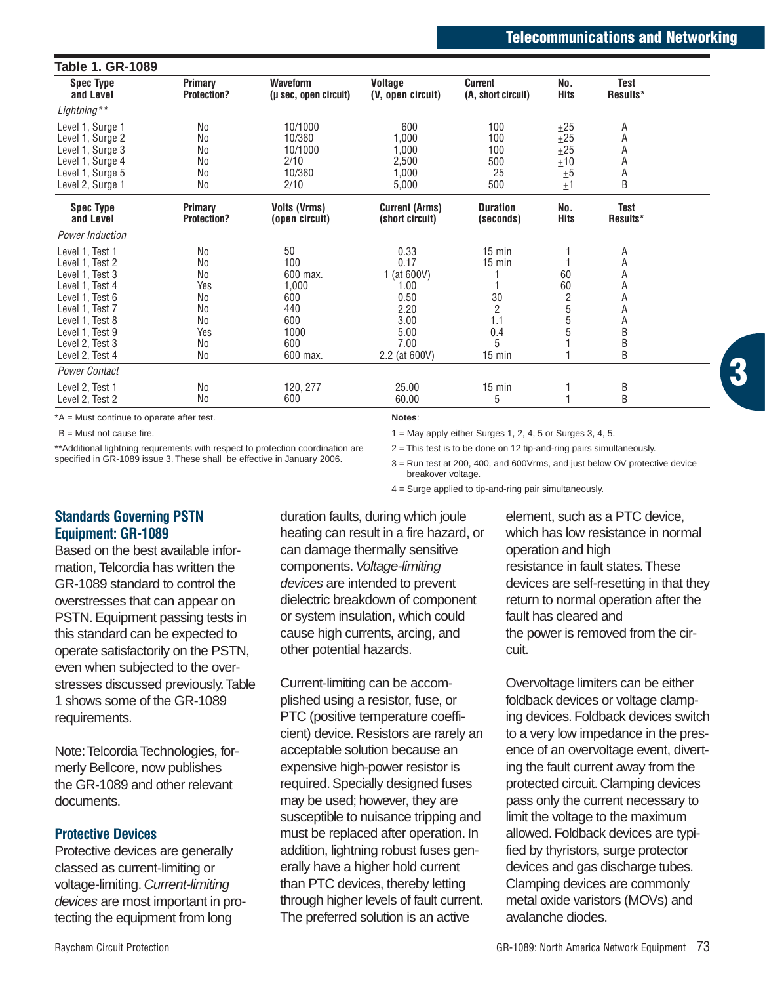| <b>Spec Type</b><br>and Level                                                                                                                                                              | Primary<br><b>Protection?</b>                              | <b>Waveform</b><br>(µ sec, open circuit)                                       | Voltage<br>(V. open circuit)                                                                 | Current<br>(A, short circuit)                                               | No.<br>Hits                               | <b>Test</b><br>Results*                        |
|--------------------------------------------------------------------------------------------------------------------------------------------------------------------------------------------|------------------------------------------------------------|--------------------------------------------------------------------------------|----------------------------------------------------------------------------------------------|-----------------------------------------------------------------------------|-------------------------------------------|------------------------------------------------|
| Lightning**                                                                                                                                                                                |                                                            |                                                                                |                                                                                              |                                                                             |                                           |                                                |
| Level 1, Surge 1<br>Level 1, Surge 2<br>Level 1, Surge 3<br>Level 1, Surge 4<br>Level 1, Surge 5                                                                                           | <b>No</b><br>No<br>No<br>No<br>No                          | 10/1000<br>10/360<br>10/1000<br>2/10<br>10/360                                 | 600<br>1,000<br>1,000<br>2,500<br>1,000                                                      | 100<br>100<br>100<br>500<br>25                                              | ±25<br>$+25$<br>±25<br>±10<br>±5          | Α<br>Α<br>А<br>Α<br>Α                          |
| Level 2, Surge 1                                                                                                                                                                           | No                                                         | 2/10                                                                           | 5,000                                                                                        | 500                                                                         | ±1                                        | B                                              |
| <b>Spec Type</b><br>and Level                                                                                                                                                              | Primary<br><b>Protection?</b>                              | <b>Volts (Vrms)</b><br>(open circuit)                                          | <b>Current (Arms)</b><br>(short circuit)                                                     | Duration<br>(seconds)                                                       | No.<br>Hits                               | Test<br>Results*                               |
| Power Induction                                                                                                                                                                            |                                                            |                                                                                |                                                                                              |                                                                             |                                           |                                                |
| Level 1, Test 1<br>Level 1, Test 2<br>Level 1. Test 3<br>Level 1, Test 4<br>Level 1, Test 6<br>Level 1, Test 7<br>Level 1, Test 8<br>Level 1, Test 9<br>Level 2, Test 3<br>Level 2, Test 4 | No<br>No<br>No<br>Yes<br>No<br>No<br>No<br>Yes<br>No<br>No | 50<br>100<br>600 max.<br>1,000<br>600<br>440<br>600<br>1000<br>600<br>600 max. | 0.33<br>0.17<br>1 (at 600V)<br>1.00<br>0.50<br>2.20<br>3.00<br>5.00<br>7.00<br>2.2 (at 600V) | $15$ min<br>$15$ min<br>30<br>$\overline{2}$<br>1.1<br>0.4<br>5<br>$15$ min | 60<br>60<br>$\overline{c}$<br>5<br>5<br>5 | Α<br>Α<br>А<br>Α<br>Α<br>Α<br>Α<br>B<br>B<br>B |
| Power Contact                                                                                                                                                                              |                                                            |                                                                                |                                                                                              |                                                                             |                                           |                                                |
| Level 2, Test 1<br>Level 2, Test 2                                                                                                                                                         | No<br>No                                                   | 120, 277<br>600                                                                | 25.00<br>60.00                                                                               | $15$ min<br>5                                                               |                                           | B<br>B                                         |

\*A = Must continue to operate after test.

B = Must not cause fire.

\*\*Additional lightning requrements with respect to protection coordination are specified in GR-1089 issue 3. These shall be effective in January 2006.

**Notes**:

 $1 =$  May apply either Surges 1, 2, 4, 5 or Surges 3, 4, 5.

2 = This test is to be done on 12 tip-and-ring pairs simultaneously.

3 = Run test at 200, 400, and 600Vrms, and just below OV protective device breakover voltage.

4 = Surge applied to tip-and-ring pair simultaneously.

# **Standards Governing PSTN Equipment: GR-1089**

Based on the best available information, Telcordia has written the GR-1089 standard to control the overstresses that can appear on PSTN. Equipment passing tests in this standard can be expected to operate satisfactorily on the PSTN, even when subjected to the overstresses discussed previously.Table 1 shows some of the GR-1089 requirements.

Note:Telcordia Technologies, formerly Bellcore, now publishes the GR-1089 and other relevant documents.

#### **Protective Devices**

Protective devices are generally classed as current-limiting or voltage-limiting. Current-limiting devices are most important in protecting the equipment from long

duration faults, during which joule heating can result in a fire hazard, or can damage thermally sensitive components. Voltage-limiting devices are intended to prevent dielectric breakdown of component or system insulation, which could cause high currents, arcing, and other potential hazards.

Current-limiting can be accomplished using a resistor, fuse, or PTC (positive temperature coefficient) device. Resistors are rarely an acceptable solution because an expensive high-power resistor is required. Specially designed fuses may be used; however, they are susceptible to nuisance tripping and must be replaced after operation. In addition, lightning robust fuses generally have a higher hold current than PTC devices, thereby letting through higher levels of fault current. The preferred solution is an active

element, such as a PTC device, which has low resistance in normal operation and high resistance in fault states.These devices are self-resetting in that they return to normal operation after the fault has cleared and the power is removed from the circuit.

Overvoltage limiters can be either foldback devices or voltage clamping devices. Foldback devices switch to a very low impedance in the presence of an overvoltage event, diverting the fault current away from the protected circuit. Clamping devices pass only the current necessary to limit the voltage to the maximum allowed. Foldback devices are typified by thyristors, surge protector devices and gas discharge tubes. Clamping devices are commonly metal oxide varistors (MOVs) and avalanche diodes.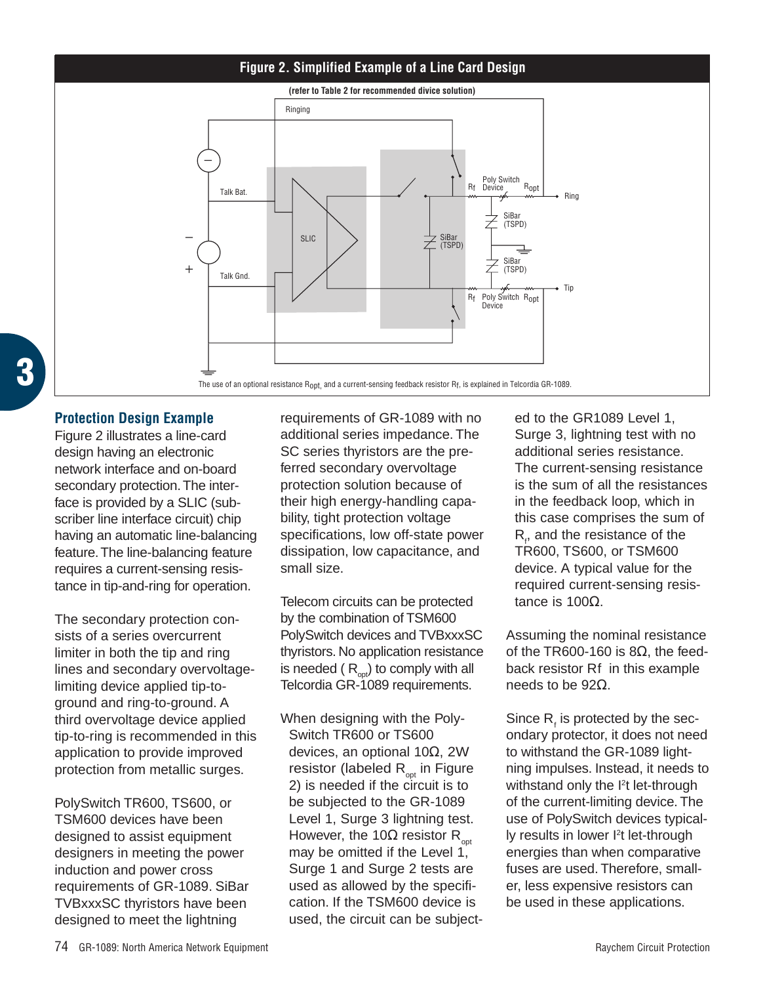# **Figure 2. Simplified Example of a Line Card Design**



# **Protection Design Example**

**3**

Figure 2 illustrates a line-card design having an electronic network interface and on-board secondary protection.The interface is provided by a SLIC (subscriber line interface circuit) chip having an automatic line-balancing feature.The line-balancing feature requires a current-sensing resistance in tip-and-ring for operation.

The secondary protection consists of a series overcurrent limiter in both the tip and ring lines and secondary overvoltagelimiting device applied tip-toground and ring-to-ground. A third overvoltage device applied tip-to-ring is recommended in this application to provide improved protection from metallic surges.

PolySwitch TR600, TS600, or TSM600 devices have been designed to assist equipment designers in meeting the power induction and power cross requirements of GR-1089. SiBar TVBxxxSC thyristors have been designed to meet the lightning

requirements of GR-1089 with no additional series impedance. The SC series thyristors are the preferred secondary overvoltage protection solution because of their high energy-handling capability, tight protection voltage specifications, low off-state power dissipation, low capacitance, and small size.

Telecom circuits can be protected by the combination of TSM600 PolySwitch devices and TVBxxxSC thyristors. No application resistance is needed  $(R<sub>opt</sub>)$  to comply with all Telcordia GR-1089 requirements.

When designing with the Poly-Switch TR600 or TS600 devices, an optional 10Ω, 2W resistor (labeled  $R_{\text{out}}$  in Figure 2) is needed if the circuit is to be subjected to the GR-1089 Level 1, Surge 3 lightning test. However, the 10 $\Omega$  resistor R<sub>opt</sub> may be omitted if the Level 1, Surge 1 and Surge 2 tests are used as allowed by the specification. If the TSM600 device is used, the circuit can be subjected to the GR1089 Level 1, Surge 3, lightning test with no additional series resistance. The current-sensing resistance is the sum of all the resistances in the feedback loop, which in this case comprises the sum of  $R_f$ , and the resistance of the TR600, TS600, or TSM600 device. A typical value for the required current-sensing resistance is 100Ω.

Assuming the nominal resistance of the TR600-160 is  $8Ω$ , the feedback resistor Rf in this example needs to be 92Ω.

Since  $R_i$ , is protected by the secondary protector, it does not need to withstand the GR-1089 lightning impulses. Instead, it needs to withstand only the <sup>2</sup>t let-through of the current-limiting device. The use of PolySwitch devices typically results in lower l<sup>2</sup>t let-through energies than when comparative fuses are used. Therefore, smaller, less expensive resistors can be used in these applications.